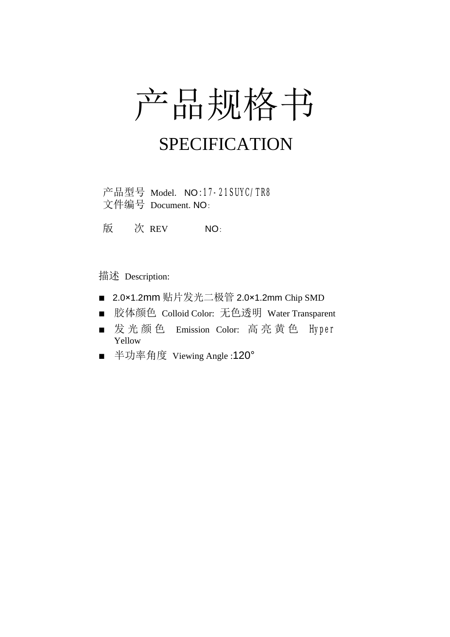# 产品规格书

## SPECIFICATION

产品型号 Model. NO:17-21SUYC/TR8 文件编号 Document. NO:

版 次 REV NO:

描述 Description:

- 2.0×1.2mm 贴片发光二极管 2.0×1.2mm Chip SMD
- 胶体颜色 Colloid Color: 无色透明 Water Transparent
- 发光颜色 Emission Color: 高亮黄色 Hyper Yellow
- 半功率角度 Viewing Angle :120°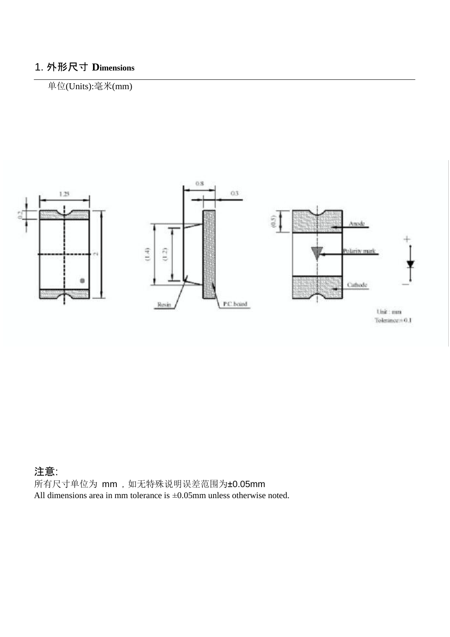### 1. 外形尺寸 **Dimensions**

#### 单位(Units):毫米(mm)



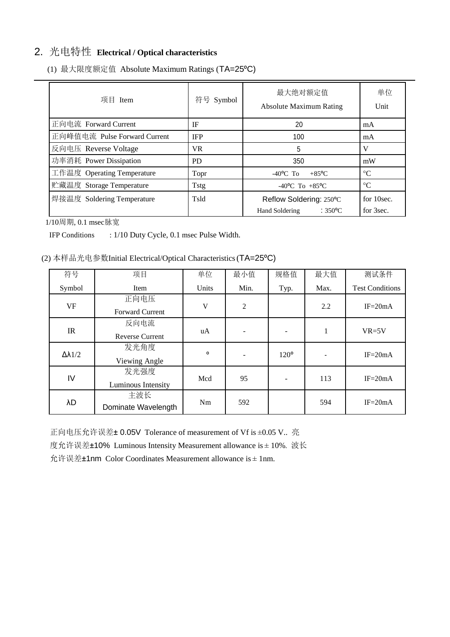#### 2. 光电特性 **Electrical / Optical characteristics**

| 项目 Item                      | 符号 Symbol  | 最大绝对额定值<br><b>Absolute Maximum Rating</b>                     | 单位<br>Unit              |
|------------------------------|------------|---------------------------------------------------------------|-------------------------|
| 正向电流 Forward Current         | IF         | 20                                                            | mA                      |
| 正向峰值电流 Pulse Forward Current | <b>IFP</b> | 100                                                           | mA                      |
| 反向电压 Reverse Voltage         | VR.        | 5                                                             | V                       |
| 功率消耗 Power Dissipation       | <b>PD</b>  | 350                                                           | mW                      |
| 工作温度 Operating Temperature   | Topr       | $-40^{\circ}$ C To<br>$+85$ <sup>o</sup> C                    | $\rm ^{\circ}C$         |
| 贮藏温度 Storage Temperature     | Tstg       | -40°C To +85°C                                                | $\rm ^{\circ}C$         |
| 焊接温度 Soldering Temperature   | Tsld       | Reflow Soldering: 250°C<br>$:350^{\circ}$ C<br>Hand Soldering | for 10sec.<br>for 3sec. |

(1) 最大限度额定值 Absolute Maximum Ratings (TA=25ºC)

1/10周期, 0.1 msec脉宽

IFP Conditions : 1/10 Duty Cycle, 0.1 msec Pulse Width.

(2) 本样品光电参数Initial Electrical/Optical Characteristics (TA=25ºC)

| 符号                 | 项目                     | 单位      | 最小值            | 规格值           | 最大值  | 测试条件                   |
|--------------------|------------------------|---------|----------------|---------------|------|------------------------|
| Symbol             | Item                   | Units   | Min.           | Typ.          | Max. | <b>Test Conditions</b> |
| <b>VF</b>          | 正向电压                   | V       | $\overline{2}$ |               | 2.2  | $IF = 20mA$            |
|                    | <b>Forward Current</b> |         |                |               |      |                        |
| IR                 | 反向电流                   | uA      |                |               | 1    | $VR=5V$                |
|                    | <b>Reverse Current</b> |         |                |               |      |                        |
| $\Delta\lambda1/2$ | 发光角度                   | $\circ$ |                | $120^{\circ}$ |      | $IF = 20mA$            |
|                    | Viewing Angle          |         |                |               |      |                        |
| IV                 | 发光强度                   | Mcd     | 95             |               | 113  | $IF = 20mA$            |
|                    | Luminous Intensity     |         |                |               |      |                        |
| λD                 | 主波长                    | Nm      | 592            |               | 594  | $IF = 20mA$            |
|                    | Dominate Wavelength    |         |                |               |      |                        |

正向电压允许误差± 0.05V Tolerance of measurement of Vf is ±0.05 V.. 亮 度允许误差±10% Luminous Intensity Measurement allowance is ± 10%. 波长 允许误差±1nm Color Coordinates Measurement allowance is ± 1nm.